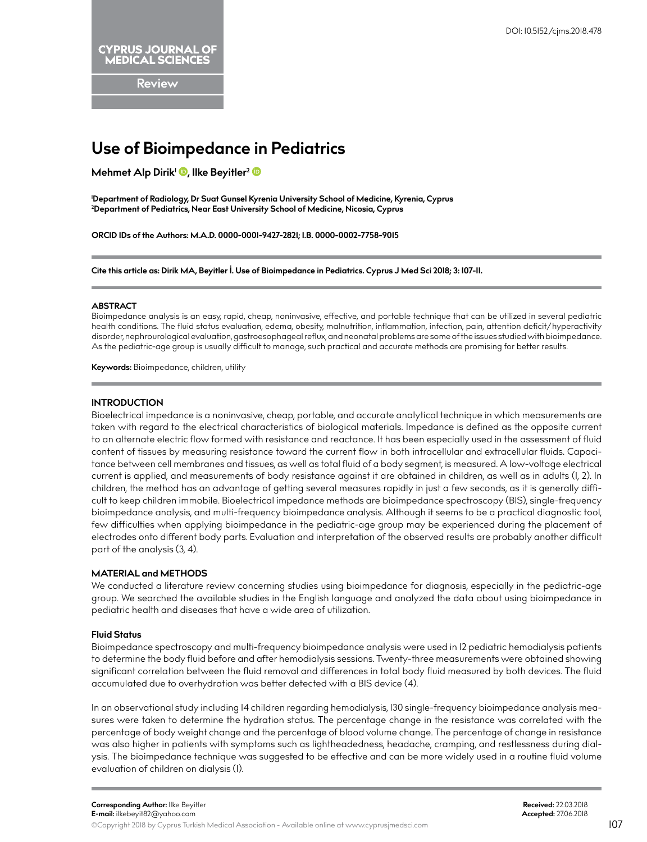**Review**

# **Use of Bioimpedance in Pediatrics**

**Mehmet Alp Dirik<sup>1</sup> <b>D**[,](http://orcid.org/0000-0001-9427-2821) llke Beyitler<sup>[2](http://orcid.org/0000-0002-7758-9015)</sup> **D** 

**1 Department of Radiology, Dr Suat Gunsel Kyrenia University School of Medicine, Kyrenia, Cyprus 2 Department of Pediatrics, Near East University School of Medicine, Nicosia, Cyprus**

**ORCID IDs of the Authors: M.A.D. 0000-0001-9427-2821; I.B. 0000-0002-7758-9015**

**Cite this article as: Dirik MA, Beyitler İ. Use of Bioimpedance in Pediatrics. Cyprus J Med Sci 2018; 3: 107-11.**

#### **ABSTRACT**

Bioimpedance analysis is an easy, rapid, cheap, noninvasive, effective, and portable technique that can be utilized in several pediatric health conditions. The fluid status evaluation, edema, obesity, malnutrition, inflammation, infection, pain, attention deficit/hyperactivity disorder, nephrourological evaluation, gastroesophageal reflux, and neonatal problems are some of the issues studied with bioimpedance. As the pediatric-age group is usually difficult to manage, such practical and accurate methods are promising for better results.

**Keywords:** Bioimpedance, children, utility

## **INTRODUCTION**

Bioelectrical impedance is a noninvasive, cheap, portable, and accurate analytical technique in which measurements are taken with regard to the electrical characteristics of biological materials. Impedance is defined as the opposite current to an alternate electric flow formed with resistance and reactance. It has been especially used in the assessment of fluid content of tissues by measuring resistance toward the current flow in both intracellular and extracellular fluids. Capacitance between cell membranes and tissues, as well as total fluid of a body segment, is measured. A low-voltage electrical current is applied, and measurements of body resistance against it are obtained in children, as well as in adults (1, 2). In children, the method has an advantage of getting several measures rapidly in just a few seconds, as it is generally difficult to keep children immobile. Bioelectrical impedance methods are bioimpedance spectroscopy (BIS), single-frequency bioimpedance analysis, and multi-frequency bioimpedance analysis. Although it seems to be a practical diagnostic tool, few difficulties when applying bioimpedance in the pediatric-age group may be experienced during the placement of electrodes onto different body parts. Evaluation and interpretation of the observed results are probably another difficult part of the analysis (3, 4).

# **MATERIAL and METHODS**

We conducted a literature review concerning studies using bioimpedance for diagnosis, especially in the pediatric-age group. We searched the available studies in the English language and analyzed the data about using bioimpedance in pediatric health and diseases that have a wide area of utilization.

# **Fluid Status**

Bioimpedance spectroscopy and multi-frequency bioimpedance analysis were used in 12 pediatric hemodialysis patients to determine the body fluid before and after hemodialysis sessions. Twenty-three measurements were obtained showing significant correlation between the fluid removal and differences in total body fluid measured by both devices. The fluid accumulated due to overhydration was better detected with a BIS device (4).

In an observational study including 14 children regarding hemodialysis, 130 single-frequency bioimpedance analysis measures were taken to determine the hydration status. The percentage change in the resistance was correlated with the percentage of body weight change and the percentage of blood volume change. The percentage of change in resistance was also higher in patients with symptoms such as lightheadedness, headache, cramping, and restlessness during dialysis. The bioimpedance technique was suggested to be effective and can be more widely used in a routine fluid volume evaluation of children on dialysis (1).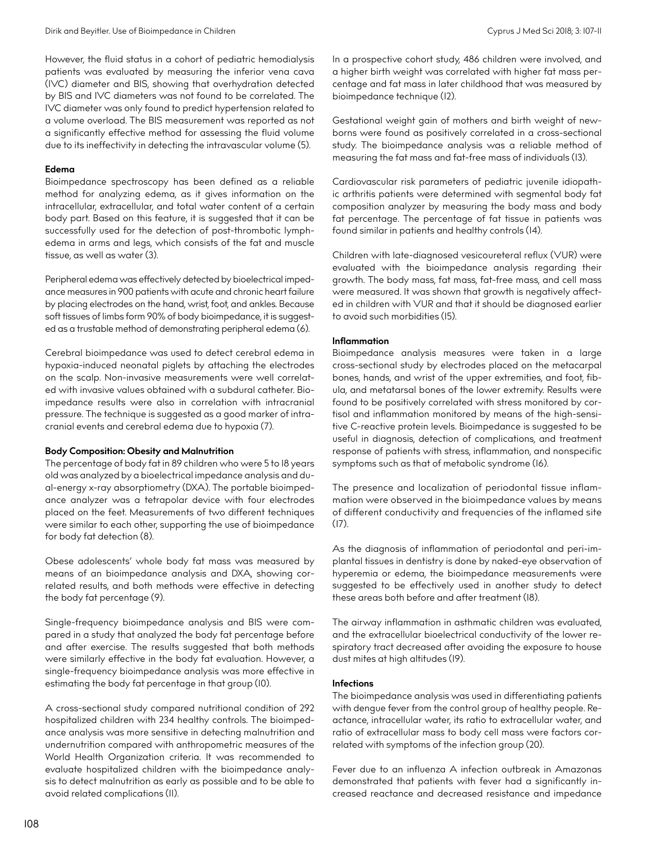However, the fluid status in a cohort of pediatric hemodialysis patients was evaluated by measuring the inferior vena cava (IVC) diameter and BIS, showing that overhydration detected by BIS and IVC diameters was not found to be correlated. The IVC diameter was only found to predict hypertension related to a volume overload. The BIS measurement was reported as not a significantly effective method for assessing the fluid volume due to its ineffectivity in detecting the intravascular volume (5).

# **Edema**

Bioimpedance spectroscopy has been defined as a reliable method for analyzing edema, as it gives information on the intracellular, extracellular, and total water content of a certain body part. Based on this feature, it is suggested that it can be successfully used for the detection of post-thrombotic lymphedema in arms and legs, which consists of the fat and muscle tissue, as well as water (3).

Peripheral edema was effectively detected by bioelectrical impedance measures in 900 patients with acute and chronic heart failure by placing electrodes on the hand, wrist, foot, and ankles. Because soft tissues of limbs form 90% of body bioimpedance, it is suggested as a trustable method of demonstrating peripheral edema (6).

Cerebral bioimpedance was used to detect cerebral edema in hypoxia-induced neonatal piglets by attaching the electrodes on the scalp. Non-invasive measurements were well correlated with invasive values obtained with a subdural catheter. Bioimpedance results were also in correlation with intracranial pressure. The technique is suggested as a good marker of intracranial events and cerebral edema due to hypoxia (7).

## **Body Composition: Obesity and Malnutrition**

The percentage of body fat in 89 children who were 5 to 18 years old was analyzed by a bioelectrical impedance analysis and dual-energy x-ray absorptiometry (DXA). The portable bioimpedance analyzer was a tetrapolar device with four electrodes placed on the feet. Measurements of two different techniques were similar to each other, supporting the use of bioimpedance for body fat detection (8).

Obese adolescents' whole body fat mass was measured by means of an bioimpedance analysis and DXA, showing correlated results, and both methods were effective in detecting the body fat percentage (9).

Single-frequency bioimpedance analysis and BIS were compared in a study that analyzed the body fat percentage before and after exercise. The results suggested that both methods were similarly effective in the body fat evaluation. However, a single-frequency bioimpedance analysis was more effective in estimating the body fat percentage in that group (10).

A cross-sectional study compared nutritional condition of 292 hospitalized children with 234 healthy controls. The bioimpedance analysis was more sensitive in detecting malnutrition and undernutrition compared with anthropometric measures of the World Health Organization criteria. It was recommended to evaluate hospitalized children with the bioimpedance analysis to detect malnutrition as early as possible and to be able to avoid related complications (11).

In a prospective cohort study, 486 children were involved, and a higher birth weight was correlated with higher fat mass percentage and fat mass in later childhood that was measured by bioimpedance technique (12).

Gestational weight gain of mothers and birth weight of newborns were found as positively correlated in a cross-sectional study. The bioimpedance analysis was a reliable method of measuring the fat mass and fat-free mass of individuals (13).

Cardiovascular risk parameters of pediatric juvenile idiopathic arthritis patients were determined with segmental body fat composition analyzer by measuring the body mass and body fat percentage. The percentage of fat tissue in patients was found similar in patients and healthy controls (14).

Children with late-diagnosed vesicoureteral reflux (VUR) were evaluated with the bioimpedance analysis regarding their growth. The body mass, fat mass, fat-free mass, and cell mass were measured. It was shown that growth is negatively affected in children with VUR and that it should be diagnosed earlier to avoid such morbidities (15).

## **Inflammation**

Bioimpedance analysis measures were taken in a large cross-sectional study by electrodes placed on the metacarpal bones, hands, and wrist of the upper extremities, and foot, fibula, and metatarsal bones of the lower extremity. Results were found to be positively correlated with stress monitored by cortisol and inflammation monitored by means of the high-sensitive C-reactive protein levels. Bioimpedance is suggested to be useful in diagnosis, detection of complications, and treatment response of patients with stress, inflammation, and nonspecific symptoms such as that of metabolic syndrome (16).

The presence and localization of periodontal tissue inflammation were observed in the bioimpedance values by means of different conductivity and frequencies of the inflamed site (17).

As the diagnosis of inflammation of periodontal and peri-implantal tissues in dentistry is done by naked-eye observation of hyperemia or edema, the bioimpedance measurements were suggested to be effectively used in another study to detect these areas both before and after treatment (18).

The airway inflammation in asthmatic children was evaluated, and the extracellular bioelectrical conductivity of the lower respiratory tract decreased after avoiding the exposure to house dust mites at high altitudes (19).

## **Infections**

The bioimpedance analysis was used in differentiating patients with dengue fever from the control group of healthy people. Reactance, intracellular water, its ratio to extracellular water, and ratio of extracellular mass to body cell mass were factors correlated with symptoms of the infection group (20).

Fever due to an influenza A infection outbreak in Amazonas demonstrated that patients with fever had a significantly increased reactance and decreased resistance and impedance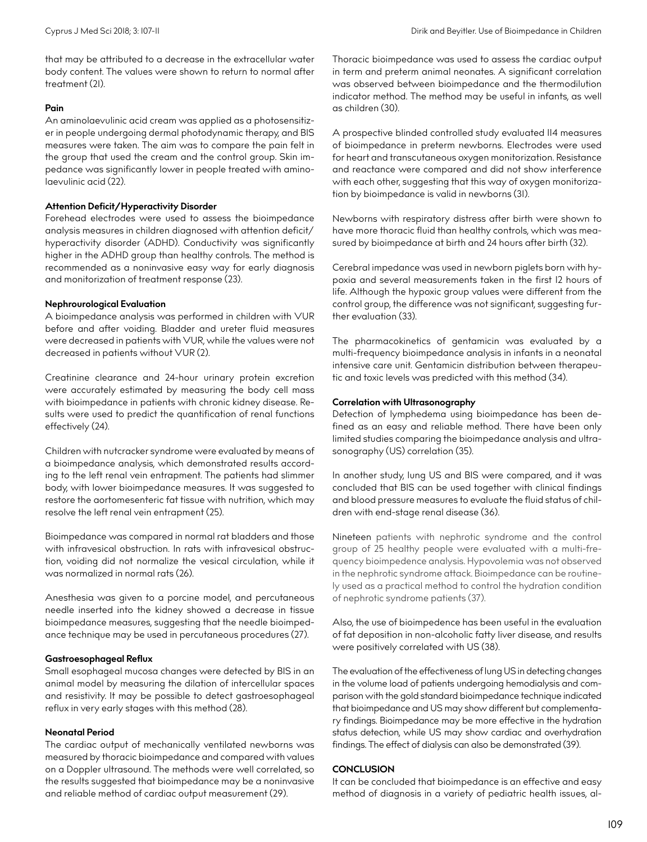that may be attributed to a decrease in the extracellular water body content. The values were shown to return to normal after treatment (21).

## **Pain**

An aminolaevulinic acid cream was applied as a photosensitizer in people undergoing dermal photodynamic therapy, and BIS measures were taken. The aim was to compare the pain felt in the group that used the cream and the control group. Skin impedance was significantly lower in people treated with aminolaevulinic acid (22).

## **Attention Deficit/Hyperactivity Disorder**

Forehead electrodes were used to assess the bioimpedance analysis measures in children diagnosed with attention deficit/ hyperactivity disorder (ADHD). Conductivity was significantly higher in the ADHD group than healthy controls. The method is recommended as a noninvasive easy way for early diagnosis and monitorization of treatment response (23).

#### **Nephrourological Evaluation**

A bioimpedance analysis was performed in children with VUR before and after voiding. Bladder and ureter fluid measures were decreased in patients with VUR, while the values were not decreased in patients without VUR (2).

Creatinine clearance and 24-hour urinary protein excretion were accurately estimated by measuring the body cell mass with bioimpedance in patients with chronic kidney disease. Results were used to predict the quantification of renal functions effectively (24).

Children with nutcracker syndrome were evaluated by means of a bioimpedance analysis, which demonstrated results according to the left renal vein entrapment. The patients had slimmer body, with lower bioimpedance measures. It was suggested to restore the aortomesenteric fat tissue with nutrition, which may resolve the left renal vein entrapment (25).

Bioimpedance was compared in normal rat bladders and those with infravesical obstruction. In rats with infravesical obstruction, voiding did not normalize the vesical circulation, while it was normalized in normal rats (26).

Anesthesia was given to a porcine model, and percutaneous needle inserted into the kidney showed a decrease in tissue bioimpedance measures, suggesting that the needle bioimpedance technique may be used in percutaneous procedures (27).

#### **Gastroesophageal Reflux**

Small esophageal mucosa changes were detected by BIS in an animal model by measuring the dilation of intercellular spaces and resistivity. It may be possible to detect gastroesophageal reflux in very early stages with this method (28).

#### **Neonatal Period**

The cardiac output of mechanically ventilated newborns was measured by thoracic bioimpedance and compared with values on a Doppler ultrasound. The methods were well correlated, so the results suggested that bioimpedance may be a noninvasive and reliable method of cardiac output measurement (29).

Thoracic bioimpedance was used to assess the cardiac output in term and preterm animal neonates. A significant correlation was observed between bioimpedance and the thermodilution indicator method. The method may be useful in infants, as well as children (30).

A prospective blinded controlled study evaluated 114 measures of bioimpedance in preterm newborns. Electrodes were used for heart and transcutaneous oxygen monitorization. Resistance and reactance were compared and did not show interference with each other, suggesting that this way of oxygen monitorization by bioimpedance is valid in newborns (31).

Newborns with respiratory distress after birth were shown to have more thoracic fluid than healthy controls, which was measured by bioimpedance at birth and 24 hours after birth (32).

Cerebral impedance was used in newborn piglets born with hypoxia and several measurements taken in the first 12 hours of life. Although the hypoxic group values were different from the control group, the difference was not significant, suggesting further evaluation (33).

The pharmacokinetics of gentamicin was evaluated by a multi-frequency bioimpedance analysis in infants in a neonatal intensive care unit. Gentamicin distribution between therapeutic and toxic levels was predicted with this method (34).

#### **Correlation with Ultrasonography**

Detection of lymphedema using bioimpedance has been defined as an easy and reliable method. There have been only limited studies comparing the bioimpedance analysis and ultrasonography (US) correlation (35).

In another study, lung US and BIS were compared, and it was concluded that BIS can be used together with clinical findings and blood pressure measures to evaluate the fluid status of children with end-stage renal disease (36).

Nineteen patients with nephrotic syndrome and the control group of 25 healthy people were evaluated with a multi-frequency bioimpedence analysis. [Hypovolemia](https://www.sciencedirect.com/topics/medicine-and-dentistry/hypovolemia) was not observed in the nephrotic syndrome attack. Bioimpedance can be routinely used as a practical method to control the hydration condition of nephrotic syndrome patients (37).

Also, the use of bioimpedence has been useful in the evaluation of fat deposition in non-alcoholic fatty liver disease, and results were positively correlated with US (38).

The evaluation of the effectiveness of lung US in detecting changes in the volume load of patients undergoing hemodialysis and comparison with the gold standard bioimpedance technique indicated that bioimpedance and US may show different but complementary findings. Bioimpedance may be more effective in the hydration status detection, while US may show cardiac and overhydration findings. The effect of dialysis can also be demonstrated (39).

## **CONCLUSION**

It can be concluded that bioimpedance is an effective and easy method of diagnosis in a variety of pediatric health issues, al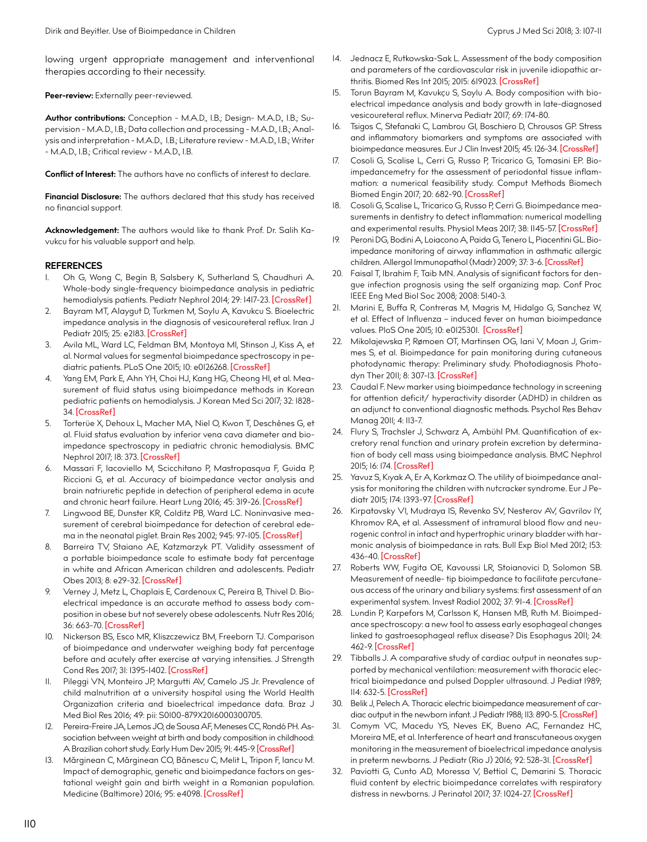lowing urgent appropriate management and interventional therapies according to their necessity.

Peer-review: Externally peer-reviewed.

**Author contributions:** Conception - M.A.D., I.B.; Design- M.A.D., I.B.; Supervision - M.A.D., I.B.; Data collection and processing - M.A.D., I.B.; Analysis and interpretation - M.A.D., I.B.; Literature review - M.A.D., I.B.; Writer - M.A.D., I.B.; Critical review - M.A.D., I.B.

**Conflict of Interest:** The authors have no conflicts of interest to declare.

**Financial Disclosure:** The authors declared that this study has received no financial support.

**Acknowledgement:** The authors would like to thank Prof. Dr. Salih Kavukcu for his valuable support and help.

## **REFERENCES**

- 1. Oh G, Wong C, Begin B, Salsbery K, Sutherland S, Chaudhuri A. Whole-body single-frequency bioimpedance analysis in pediatric hemodialysis patients. Pediatr Nephrol 2014; 29: 1417-23. [\[CrossRef\]](https://doi.org/10.1007/s00467-014-2778-7)
- 2. Bayram MT, Alaygut D, Turkmen M, Soylu A, Kavukcu S. Bioelectric impedance analysis in the diagnosis of vesicoureteral reflux. Iran J Pediatr 2015; 25: e2183. [\[CrossRef\]](https://doi.org/10.5812/ijp.2183)
- 3. Avila ML, Ward LC, Feldman BM, Montoya MI, Stinson J, Kiss A, et al. Normal values for segmental bioimpedance spectroscopy in pediatric patients. PLoS One 2015; 10: e0126268. [\[CrossRef\]](https://doi.org/10.1371/journal.pone.0126268)
- 4. Yang EM, Park E, Ahn YH, Choi HJ, Kang HG, Cheong HI, et al. Measurement of fluid status using bioimpedance methods in Korean pediatric patients on hemodialysis. J Korean Med Sci 2017; 32: 1828- 34. [\[CrossRef\]](https://doi.org/10.3346/jkms.2017.32.11.1828)
- 5. Torterüe X, Dehoux L, Macher MA, Niel O, Kwon T, Deschênes G, et al. Fluid status evaluation by inferior vena cava diameter and bioimpedance spectroscopy in pediatric chronic hemodialysis. BMC Nephrol 2017; 18: 373. [\[CrossRef\]](https://doi.org/10.1186/s12882-017-0793-1)
- 6. Massari F, Iacoviello M, Scicchitano P, Mastropasqua F, Guida P, Riccioni G, et al. Accuracy of bioimpedance vector analysis and brain natriuretic peptide in detection of peripheral edema in acute and chronic heart failure. Heart Lung 2016; 45: 319-26. [\[CrossRef\]](https://doi.org/10.1016/j.hrtlng.2016.03.008)
- 7. Lingwood BE, Dunster KR, Colditz PB, Ward LC. Noninvasive measurement of cerebral bioimpedance for detection of cerebral edema in the neonatal piglet. Brain Res 2002; 945: 97-105. [\[CrossRef\]](https://doi.org/10.1016/S0006-8993(02)02744-0)
- 8. Barreira TV, Staiano AE, Katzmarzyk PT. Validity assessment of a portable bioimpedance scale to estimate body fat percentage in white and African American children and adolescents. Pediatr Obes 2013; 8: e29-32. [\[CrossRef\]](https://doi.org/10.1111/j.2047-6310.2012.00122.x)
- Verney J, Metz L, Chaplais E, Cardenoux C, Pereira B, Thivel D. Bioelectrical impedance is an accurate method to assess body composition in obese but not severely obese adolescents. Nutr Res 2016; 36: 663-70. [\[CrossRef\]](https://doi.org/10.1016/j.nutres.2016.04.003)
- 10. Nickerson BS, Esco MR, Kliszczewicz BM, Freeborn TJ. Comparison of bioimpedance and underwater weighing body fat percentage before and acutely after exercise at varying intensities. J Strength Cond Res 2017; 31: 1395-1402. [\[CrossRef\]](https://doi.org/10.1519/JSC.0000000000001716)
- Pileggi VN, Monteiro JP, Margutti AV, Camelo JS Jr. Prevalence of child malnutrition at a university hospital using the World Health Organization criteria and bioelectrical impedance data. Braz J Med Biol Res 2016; 49: pii: S0100-879X2016000300705.
- 12. Pereira-Freire JA, Lemos JO, de Sousa AF, Meneses CC, Rondó PH. Association between weight at birth and body composition in childhood: A Brazilian cohort study. Early Hum Dev 2015; 91: 445-9. [\[CrossRef\]](https://doi.org/10.1016/j.earlhumdev.2015.05.004)
- 13. Mărginean C, Mărginean CO, Bănescu C, Melit L, Tripon F, Iancu M. Impact of demographic, genetic and bioimpedance factors on gestational weight gain and birth weight in a Romanian population. Medicine (Baltimore) 2016; 95: e4098. [\[CrossRef\]](https://doi.org/10.1097/MD.0000000000004098)
- 14. Jednacz E, Rutkowska-Sak L. Assessment of the body composition and parameters of the cardiovascular risk in juvenile idiopathic arthritis. Biomed Res Int 2015; 2015: 619023. [\[CrossRef\]](https://doi.org/10.1155/2015/619023)
- 15. Torun Bayram M, Kavukçu S, Soylu A. Body composition with bioelectrical impedance analysis and body growth in late-diagnosed vesicoureteral reflux. Minerva Pediatr 2017; 69: 174-80.
- 16. Tsigos C, Stefanaki C, Lambrou GI, Boschiero D, Chrousos GP. Stress and inflammatory biomarkers and symptoms are associated with bioimpedance measures. Eur J Clin Invest 2015; 45: 126-34. [\[CrossRef\]](https://doi.org/10.1111/eci.12388)
- 17. Cosoli G, Scalise L, Cerri G, Russo P, Tricarico G, Tomasini EP. Bioimpedancemetry for the assessment of periodontal tissue inflammation: a numerical feasibility study. Comput Methods Biomech Biomed Engin 2017; 20: 682-90. [\[CrossRef\]](https://doi.org/10.1080/10255842.2017.1291804)
- 18. Cosoli G, Scalise L, Tricarico G, Russo P, Cerri G. Bioimpedance measurements in dentistry to detect inflammation: numerical modelling and experimental results. Physiol Meas 2017; 38: 1145-57. [\[CrossRef\]](https://doi.org/10.1088/1361-6579/aa5c7b)
- 19. Peroni DG, Bodini A, Loiacono A, Paida G, Tenero L, Piacentini GL. Bioimpedance monitoring of airway inflammation in asthmatic allergic children. Allergol Immunopathol (Madr) 2009; 37: 3-6. [\[CrossRef\]](https://doi.org/10.1016/S0301-0546(09)70243-5)
- 20. Faisal T, Ibrahim F, Taib MN. Analysis of significant factors for dengue infection prognosis using the self organizing map. Conf Proc IEEE Eng Med Biol Soc 2008; 2008: 5140-3.
- 21. Marini E, Buffa R, Contreras M, Magris M, Hidalgo G, Sanchez W, et al. Effect of Influenza – induced fever on human bioimpedance values. PloS One 2015; 10: e0125301. [\[CrossRef\]](https://doi.org/10.1371/journal.pone.0125301)
- 22. Mikolajewska P, Rømoen OT, Martinsen OG, Iani V, Moan J, Grimmes S, et al. Bioimpedance for pain monitoring during cutaneous photodynamic therapy: Preliminary study. Photodiagnosis Photodyn Ther 2011; 8: 307-13. [\[CrossRef\]](https://doi.org/10.1016/j.pdpdt.2011.06.001)
- 23. Caudal F. New marker using bioimpedance technology in screening for attention deficit/ hyperactivity disorder (ADHD) in children as an adjunct to conventional diagnostic methods. Psychol Res Behav Manag 2011; 4: 113-7.
- 24. Flury S, Trachsler J, Schwarz A, Ambühl PM. Quantification of excretory renal function and urinary protein excretion by determination of body cell mass using bioimpedance analysis. BMC Nephrol 2015; 16: 174. [\[CrossRef\]](https://doi.org/10.1186/s12882-015-0171-9)
- 25. Yavuz S, Kıyak A, Er A, Korkmaz O. The utility of bioimpedance analysis for monitoring the children with nutcracker syndrome. Eur J Pediatr 2015; 174: 1393-97. [\[CrossRef\]](https://doi.org/10.1007/s00431-015-2535-3)
- 26. Kirpatovsky VI, Mudraya IS, Revenko SV, Nesterov AV, Gavrilov IY, Khromov RA, et al. Assessment of intramural blood flow and neurogenic control in intact and hypertrophic urinary bladder with harmonic analysis of bioimpedance in rats. Bull Exp Biol Med 2012; 153: 436-40. [\[CrossRef\]](https://doi.org/10.1007/s10517-012-1734-4)
- 27. Roberts WW, Fugita OE, Kavoussi LR, Stoianovici D, Solomon SB. Measurement of needle- tip bioimpedance to facilitate percutaneous access of the urinary and biliary systems: first assessment of an experimental system. Invest Radiol 2002; 37: 91-4. [\[CrossRef\]](https://doi.org/10.1097/00004424-200202000-00007)
- 28. Lundin P, Karpefors M, Carlsson K, Hansen MB, Ruth M. Bioimpedance spectroscopy: a new tool to assess early esophageal changes linked to gastroesophageal reflux disease? Dis Esophagus 2011; 24: 462-9. [\[CrossRef\]](https://doi.org/10.1111/j.1442-2050.2011.01181.x)
- 29. Tibballs J. A comparative study of cardiac output in neonates supported by mechanical ventilation: measurement with thoracic electrical bioimpedance and pulsed Doppler ultrasound. J Pediat 1989; 114: 632-5. [\[CrossRef\]](https://doi.org/10.1016/S0022-3476(89)80710-3)
- 30. Belik J, Pelech A. Thoracic electric bioimpedance measurement of car-diac output in the newborn infant. J Pediatr 1988; 113: 890-5. [\[CrossRef\]](https://doi.org/10.1016/S0022-3476(88)80026-X)
- 31. Comym VC, Macedu YS, Neves EK, Bueno AC, Fernandez HC, Moreira ME, et al. Interference of heart and transcutaneous oxygen monitoring in the measurement of bioelectrical impedance analysis in preterm newborns. J Pediatr (Rio J) 2016; 92: 528-31. [\[CrossRef\]](https://doi.org/10.1016/j.jped.2016.01.009)
- Paviotti G, Cunto AD, Moressa V, Bettiol C, Demarini S. Thoracic fluid content by electric bioimpedance correlates with respiratory distress in newborns. J Perinatol 2017; 37: 1024-27. [\[CrossRef\]](https://doi.org/10.1038/jp.2017.100)